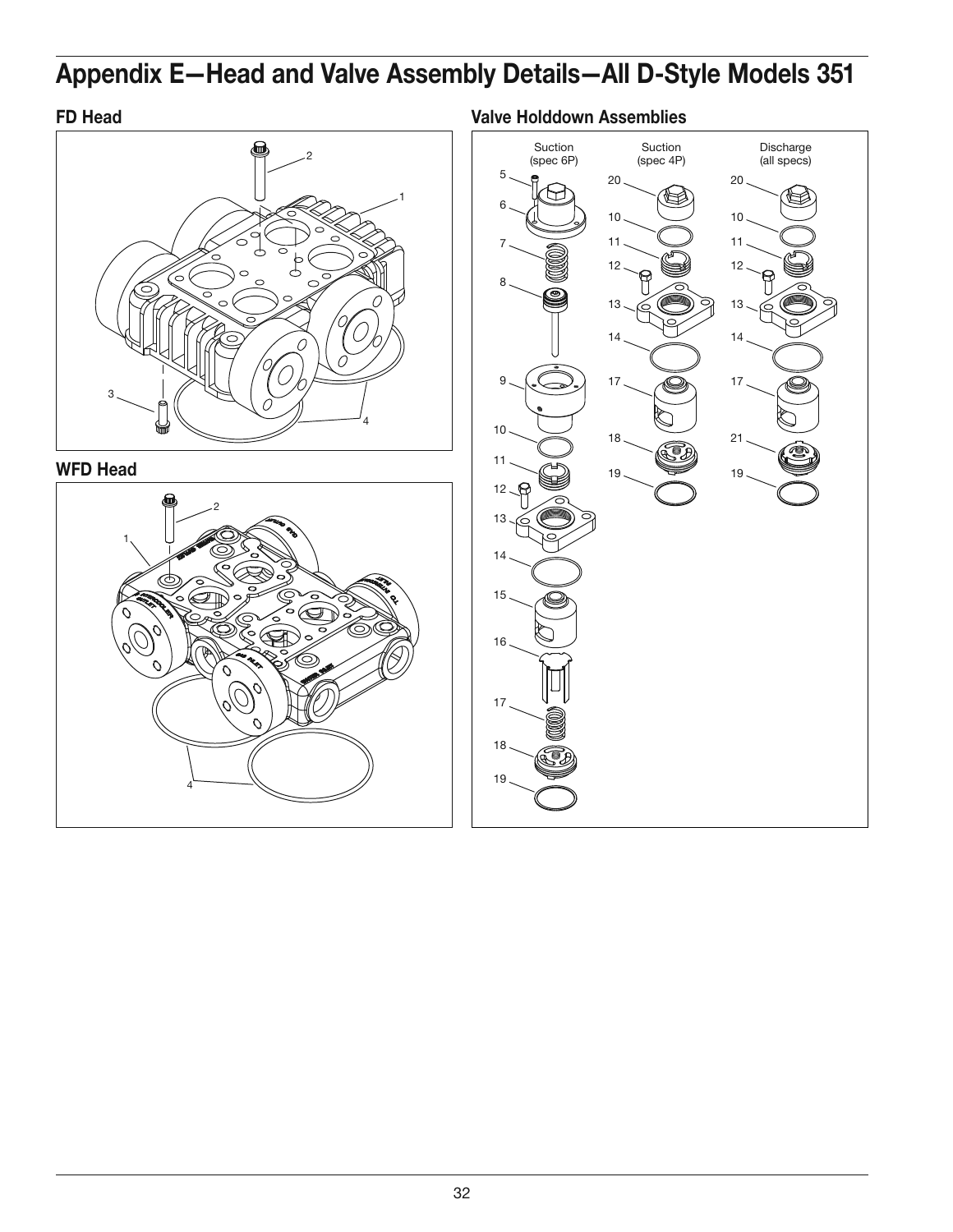# **Appendix E—Head and Valve Assembly Details—All D-Style Models 351**

## **FD Head**



**WFD Head**



Suction Suction **Valve Holddown Assemblies**

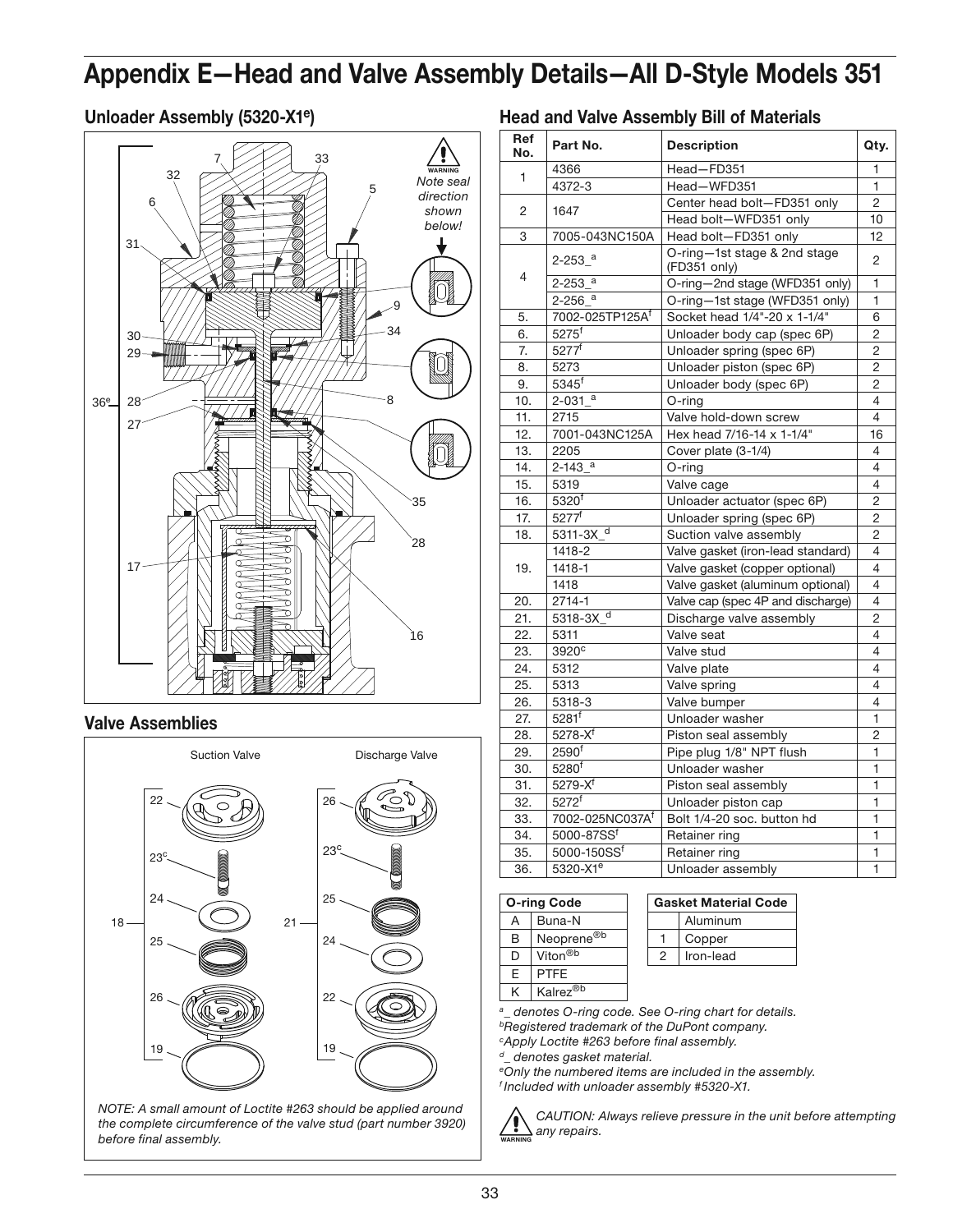# **Appendix E—Head and Valve Assembly Details—All D-Style Models 351**

### **Unloader Assembly (5320-X1e)**



### **Valve Assemblies**



*NOTE: A small amount of Loctite #263 should be applied around the complete circumference of the valve stud (part number 3920) before final assembly.*

| <b>Head and Valve Assembly Bill of Materials</b> |  |  |  |
|--------------------------------------------------|--|--|--|
|--------------------------------------------------|--|--|--|

| Ref<br>No. | Part No.                 | <b>Description</b>                           | Qty.           |
|------------|--------------------------|----------------------------------------------|----------------|
|            | 4366                     | Head-FD351                                   | 1              |
| 1          | 4372-3                   | Head-WFD351                                  | 1              |
|            |                          | Center head bolt-FD351 only                  | $\overline{c}$ |
| 2          | 1647                     | Head bolt-WFD351 only                        | 10             |
| 3          | 7005-043NC150A           | Head bolt-FD351 only                         | 12             |
|            | $2 - 253$ <sup>a</sup>   | O-ring-1st stage & 2nd stage<br>(FD351 only) | $\overline{2}$ |
| 4          | $2-253$ $a$              | O-ring-2nd stage (WFD351 only)               | 1              |
|            | $2 - 256$ <sup>a</sup>   | O-ring-1st stage (WFD351 only)               | 1              |
| 5.         | 7002-025TP125Af          | Socket head 1/4"-20 x 1-1/4"                 | 6              |
| 6.         | $5275^{\mathrm{f}}$      | Unloader body cap (spec 6P)                  | $\overline{2}$ |
| 7.         | 5277f                    | Unloader spring (spec 6P)                    | 2              |
| 8.         | 5273                     | Unloader piston (spec 6P)                    | $\overline{c}$ |
| 9.         | $5345$ <sup>f</sup>      | Unloader body (spec 6P)                      | 2              |
| 10.        | $2 - 031$ <sup>a</sup>   | $O$ -ring                                    | 4              |
| 11.        | 2715                     | Valve hold-down screw                        | 4              |
| 12.        | 7001-043NC125A           | Hex head 7/16-14 x 1-1/4"                    | 16             |
| 13.        | 2205                     | Cover plate (3-1/4)                          | 4              |
| 14.        | $2 - 143$ <sup>a</sup>   | $O$ -ring                                    | 4              |
| 15.        | 5319                     | Valve cage                                   | 4              |
| 16.        | 5320 <sup>f</sup>        | Unloader actuator (spec 6P)                  | 2              |
| 17.        | 5277 <sup>f</sup>        | Unloader spring (spec 6P)                    | $\overline{c}$ |
| 18.        | $5311-3X$ <sup>d</sup>   | Suction valve assembly                       | $\overline{2}$ |
|            | 1418-2                   | Valve gasket (iron-lead standard)            | 4              |
| 19.        | 1418-1                   | Valve gasket (copper optional)               | 4              |
|            | 1418                     | Valve gasket (aluminum optional)             | 4              |
| 20.        | $2714 - 1$               | Valve cap (spec 4P and discharge)            | 4              |
| 21.        | $5318 - 3X$ <sup>d</sup> | Discharge valve assembly                     | $\overline{c}$ |
| 22.        | 5311                     | Valve seat                                   | 4              |
| 23.        | 3920 <sup>c</sup>        | Valve stud                                   | 4              |
| 24.        | 5312                     | Valve plate                                  | 4              |
| 25.        | 5313                     | Valve spring                                 | 4              |
| 26.        | $5318 - 3$               | Valve bumper                                 | 4              |
| 27.        | $5281$ <sup>f</sup>      | Unloader washer                              | $\overline{1}$ |
| 28.        | $5278 - X^f$             | Piston seal assembly                         | $\overline{2}$ |
| 29.        | 2590 <sup>f</sup>        | Pipe plug 1/8" NPT flush                     | 1              |
| 30.        | 5280 <sup>f</sup>        | Unloader washer                              | $\mathbf{1}$   |
| 31.        | $5279 - X^{f}$           | Piston seal assembly                         | 1              |
| 32.        | 5272 <sup>f</sup>        | Unloader piston cap                          |                |
| 33.        | 7002-025NC037Af          | Bolt 1/4-20 soc. button hd                   | 1              |
| 34.        | 5000-87SSf               | Retainer ring                                | $\mathbf{1}$   |
| 35.        | 5000-150SSf              | Retainer ring                                | 1              |
| 36.        | 5320-X1 <sup>e</sup>     | Unloader assembly                            | $\mathbf{1}$   |

| <b>O-ring Code</b> |                        |  |
|--------------------|------------------------|--|
| А                  | Buna-N                 |  |
| R                  | Neoprene <sup>®b</sup> |  |
| נ ו                | Viton <sup>®b</sup>    |  |
| F                  | <b>PTFE</b>            |  |
| ĸ                  | Kalrez <sup>®b</sup>   |  |

| <b>Gasket Material Code</b> |          |  |
|-----------------------------|----------|--|
|                             | Aluminum |  |
|                             | Copper   |  |
| Iron-lead<br>2              |          |  |
|                             |          |  |

*a \_ denotes O-ring code. See O-ring chart for details. b Registered trademark of the DuPont company.*

*c Apply Loctite #263 before final assembly.*

*d \_ denotes gasket material.*

*e Only the numbered items are included in the assembly. f Included with unloader assembly #5320-X1.*



*CAUTION: Always relieve pressure in the unit before attempting any repairs.*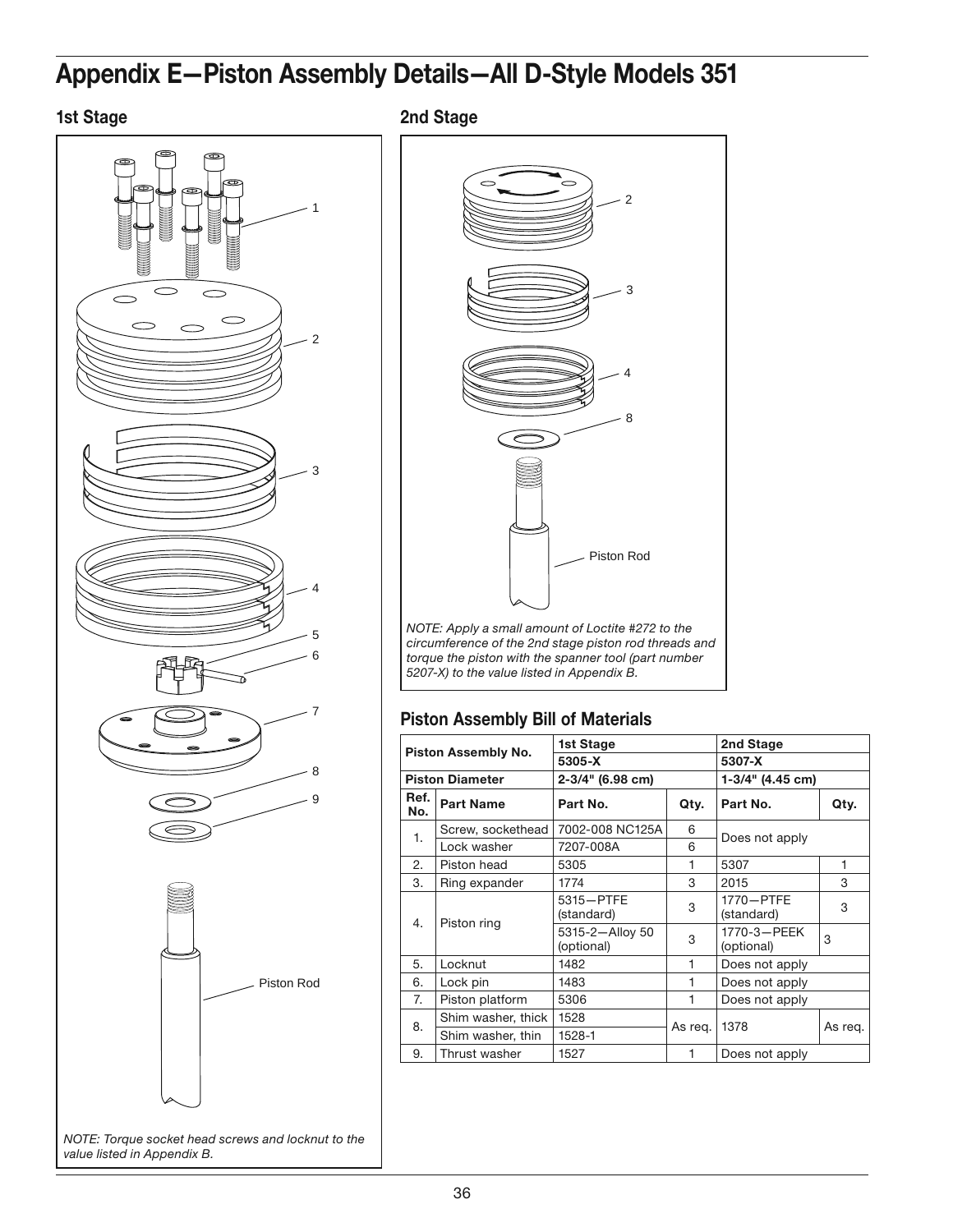# **Appendix E—Piston Assembly Details—All D-Style Models 351**



**1st Stage 2nd Stage**



### **Piston Assembly Bill of Materials**

| Piston Assembly No. |                               | 1st Stage        |                           | 2nd Stage        |         |
|---------------------|-------------------------------|------------------|---------------------------|------------------|---------|
|                     |                               | 5305-X           |                           | 5307-X           |         |
|                     | <b>Piston Diameter</b>        | 2-3/4" (6.98 cm) |                           | 1-3/4" (4.45 cm) |         |
| Ref.<br>No.         | <b>Part Name</b>              | Part No.         | Qty.                      | Part No.         | Qty.    |
| 1.                  | Screw, sockethead             | 7002-008 NC125A  | 6                         | Does not apply   |         |
|                     | Lock washer                   | 7207-008A        | 6                         |                  |         |
| 2.                  | Piston head                   | 5305             | 1                         | 5307             | 1       |
| 3.                  | Ring expander                 | 1774             | 3                         | 2015             | 3       |
| Piston ring<br>4.   | 5315-PTFE<br>(standard)       | 3                | 1770-PTFE<br>(standard)   | 3                |         |
|                     | 5315-2-Alloy 50<br>(optional) | 3                | 1770-3-PEEK<br>(optional) | 3                |         |
| 5.                  | Locknut                       | 1482             | 1                         | Does not apply   |         |
| 6.                  | Lock pin                      | 1483             | 1                         | Does not apply   |         |
| 7.                  | Piston platform               | 5306             | 1                         | Does not apply   |         |
| 8.                  | Shim washer, thick            | 1528             |                           |                  |         |
|                     | Shim washer, thin             | 1528-1           | As reg.                   | 1378             | As reg. |
| 9.                  | Thrust washer                 | 1527             | 1                         | Does not apply   |         |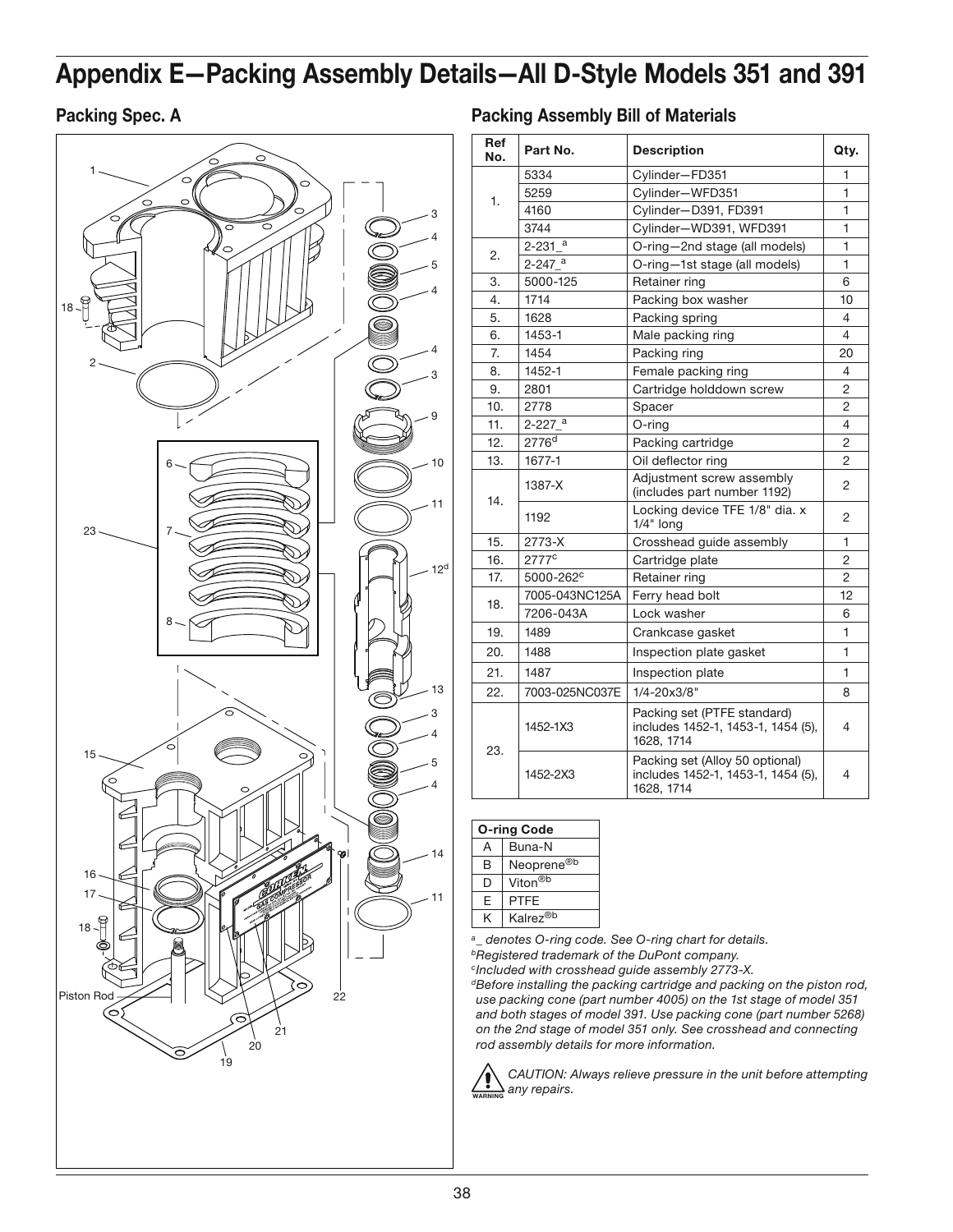# **Appendix E—Packing Assembly Details —All D-Style Models 351 and 391**



Packing Spec. A **Packing Spec. A** Packing Assembly Bill of Materials

| Ref<br>No. | Part No.               | <b>Description</b>                                                                  | Qty.           |
|------------|------------------------|-------------------------------------------------------------------------------------|----------------|
|            | 5334                   | Cylinder-FD351                                                                      | 1              |
|            | 5259                   | Cylinder-WFD351                                                                     | 1              |
| 1.<br>4160 |                        | Cylinder-D391, FD391                                                                | 1              |
|            | 3744                   | Cylinder-WD391, WFD391                                                              | 1              |
| 2.         | $2 - 231$ $a$          | O-ring-2nd stage (all models)                                                       | 1              |
|            | $2 - 247$ <sup>a</sup> | O-ring-1st stage (all models)                                                       | 1              |
| 3.         | 5000-125               | Retainer ring                                                                       | 6              |
| 4.         | 1714                   | Packing box washer                                                                  | 10             |
| 5.         | 1628                   | Packing spring                                                                      | 4              |
| 6.         | 1453-1                 | Male packing ring                                                                   | 4              |
| 7.         | 1454                   | Packing ring                                                                        | 20             |
| 8.         | 1452-1                 | Female packing ring                                                                 | 4              |
| 9.         | 2801                   | Cartridge holddown screw                                                            | 2              |
| 10.        | 2778                   | Spacer                                                                              | 2              |
| 11.        | $2 - 227$ <sup>a</sup> | O-ring                                                                              | 4              |
| 12.        | 2776 <sup>d</sup>      | Packing cartridge<br>$\overline{2}$                                                 |                |
| 13.        | 1677-1                 | Oil deflector ring<br>2                                                             |                |
| 14.        | 1387-X                 | Adjustment screw assembly<br>(includes part number 1192)                            | 2              |
|            | 1192                   | Locking device TFE 1/8" dia. x<br>$1/4"$ long                                       | 2              |
| 15.        | 2773-X                 | Crosshead guide assembly                                                            | 1              |
| 16.        | 2777 <sup>c</sup>      | Cartridge plate                                                                     | $\overline{2}$ |
| 17.        | 5000-262 <sup>c</sup>  | Retainer ring                                                                       | 2              |
| 18.        | 7005-043NC125A         | Ferry head bolt                                                                     | 12             |
|            | 7206-043A              | Lock washer                                                                         | 6              |
| 19.        | 1489                   | Crankcase gasket                                                                    | 1              |
| 20.        | 1488                   | Inspection plate gasket                                                             | 1              |
| 21.        | 1487                   | Inspection plate                                                                    | 1              |
| 22.        | 7003-025NC037E         | $1/4 - 20x3/8"$                                                                     | 8              |
|            | 1452-1X3               | Packing set (PTFE standard)<br>includes 1452-1, 1453-1, 1454 (5),<br>1628. 1714     | 4              |
| 23.        | 1452-2X3               | Packing set (Alloy 50 optional)<br>includes 1452-1, 1453-1, 1454 (5),<br>1628, 1714 | 4              |

### **O-ring Code**

| А | Buna-N                 |
|---|------------------------|
| R | Neoprene <sup>®b</sup> |
| Ð | Viton <sup>®b</sup>    |
| E | PTFF                   |
| K | Kalrez <sup>®b</sup>   |
|   |                        |

*a \_ denotes O-ring code. See O-ring chart for details. b Registered trademark of the DuPont company.*

*c Included with crosshead guide assembly 2773-X.*

*d Before installing the packing cartridge and packing on the piston rod, use packing cone (part number 4005) on the 1st stage of model 351 and both stages of model 391. Use packing cone (part number 5268) on the 2nd stage of model 351 only. See crosshead and connecting rod assembly details for more information.*

**WARNING** *CAUTION: Always relieve pressure in the unit before attempting any repairs.*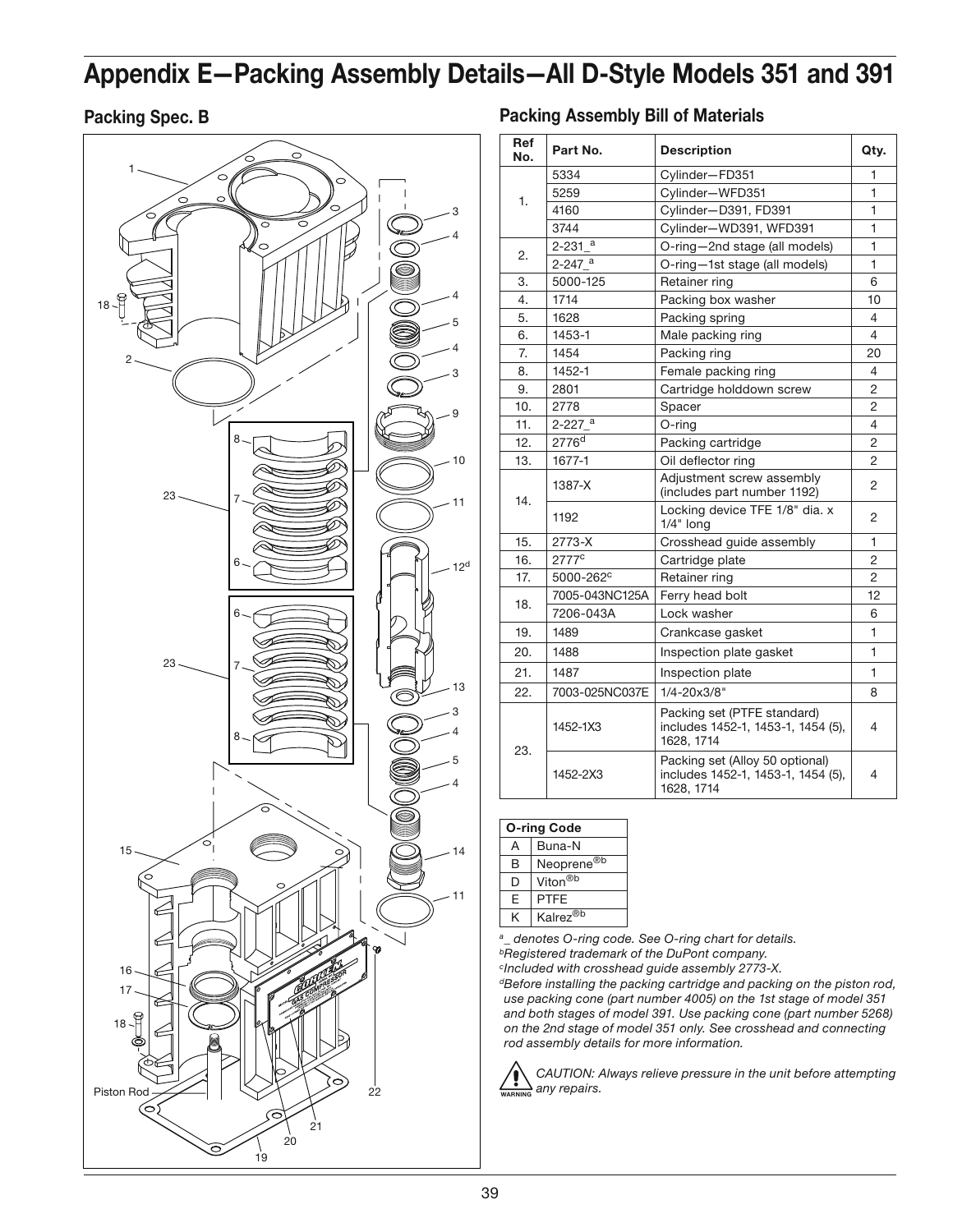# **Appendix E—Packing Assembly Details —All D-Style Models 351 and 391**

### **Packing Spec. B**



|  | <b>Packing Assembly Bill of Materials</b> |  |  |
|--|-------------------------------------------|--|--|
|--|-------------------------------------------|--|--|

| <b>Ref</b><br>No. | Part No.               | <b>Description</b>                                                                  | Qty.           |
|-------------------|------------------------|-------------------------------------------------------------------------------------|----------------|
|                   | 5334                   | Cylinder-FD351                                                                      | 1              |
| 1.                | 5259                   | Cylinder-WFD351                                                                     | $\mathbf{1}$   |
|                   | 4160                   | Cylinder-D391, FD391                                                                | $\mathbf{1}$   |
|                   | 3744                   | Cylinder-WD391, WFD391                                                              | $\mathbf{1}$   |
| 2.                | $2 - 231$ <sup>a</sup> | O-ring-2nd stage (all models)                                                       | $\mathbf{1}$   |
|                   | 2-247 <sup>a</sup>     | O-ring-1st stage (all models)                                                       | $\mathbf{1}$   |
| 3.                | 5000-125               | Retainer ring                                                                       | 6              |
| 4.                | 1714                   | Packing box washer                                                                  | 10             |
| 5.                | 1628                   | Packing spring                                                                      | 4              |
| 6.                | 1453-1                 | Male packing ring                                                                   | 4              |
| $\overline{7}$    | 1454                   | Packing ring                                                                        | 20             |
| 8.                | 1452-1                 | Female packing ring                                                                 | 4              |
| 9.                | 2801                   | Cartridge holddown screw                                                            | $\overline{c}$ |
| 10.               | 2778                   | Spacer                                                                              | 2              |
| 11.               | $2 - 227$ <sup>a</sup> | O-ring                                                                              | 4              |
| 12.               | 2776 <sup>d</sup>      | Packing cartridge<br>2                                                              |                |
| 13.               | 1677-1                 | Oil deflector ring                                                                  | $\overline{c}$ |
|                   | 1387-X                 | Adjustment screw assembly<br>(includes part number 1192)                            | 2              |
| 14.               | 1192                   | Locking device TFE 1/8" dia. x<br>$1/4"$ long                                       | 2              |
| 15.               | 2773-X                 | Crosshead guide assembly                                                            | 1              |
| 16.               | 2777 <sup>c</sup>      | Cartridge plate                                                                     | 2              |
| 17.               | 5000-262 <sup>c</sup>  | Retainer ring                                                                       | $\overline{2}$ |
|                   | 7005-043NC125A         | Ferry head bolt                                                                     | 12             |
| 18.               | 7206-043A              | Lock washer                                                                         | 6              |
| 19.               | 1489                   | Crankcase gasket                                                                    | 1              |
| 20.               | 1488                   | Inspection plate gasket                                                             | 1              |
| 21.               | 1487                   | Inspection plate                                                                    | 1              |
| 22.               | 7003-025NC037E         | $1/4 - 20x3/8"$                                                                     | 8              |
|                   | 1452-1X3               | Packing set (PTFE standard)<br>includes 1452-1, 1453-1, 1454 (5),<br>1628, 1714     | 4              |
| 23.               | 1452-2X3               | Packing set (Alloy 50 optional)<br>includes 1452-1, 1453-1, 1454 (5),<br>1628, 1714 | 4              |

| <b>O-ring Code</b> |                        |  |
|--------------------|------------------------|--|
| А                  | Buna-N                 |  |
| R                  | Neoprene <sup>®b</sup> |  |
| D                  | Viton <sup>®b</sup>    |  |
| F                  | <b>PTFE</b>            |  |
| ĸ                  | Kalrez <sup>®b</sup>   |  |
|                    |                        |  |

*denotes O-ring code. See O-ring chart for details.* 

*b Registered trademark of the DuPont company.*

*c Included with crosshead guide assembly 2773-X.*

*d Before installing the packing cartridge and packing on the piston rod, use packing cone (part number 4005) on the 1st stage of model 351 and both stages of model 391. Use packing cone (part number 5268) on the 2nd stage of model 351 only. See crosshead and connecting rod assembly details for more information.*

**WARNING** *CAUTION: Always relieve pressure in the unit before attempting any repairs.*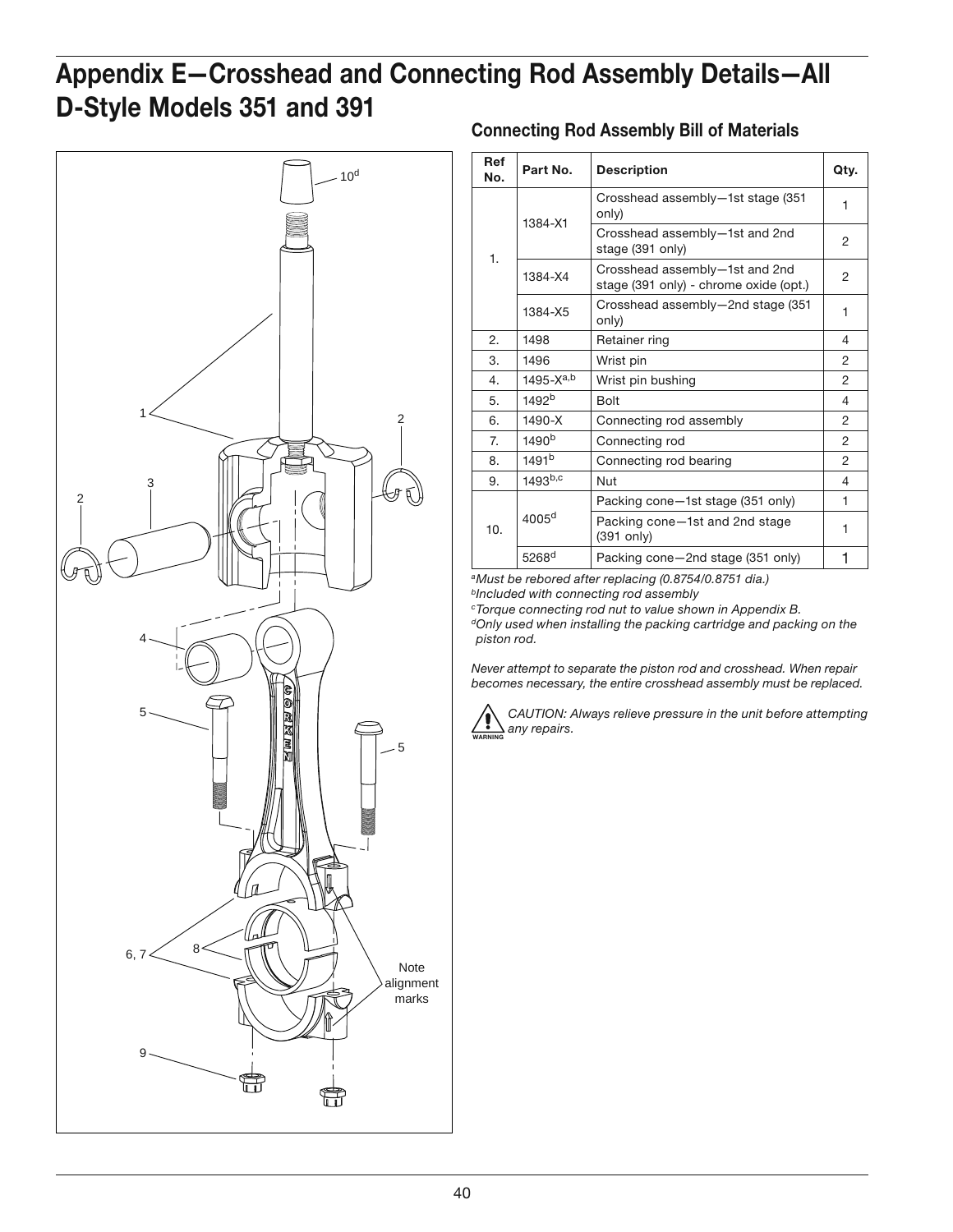# **Appendix E—Crosshead and Connecting Rod Assembly Details—All D-Style Models 351 and 391**



### **Connecting Rod Assembly Bill of Materials**

| Ref<br>No. | Part No.            | <b>Description</b>                                                       | Qty.           |
|------------|---------------------|--------------------------------------------------------------------------|----------------|
|            | 1384-X1             | Crosshead assembly-1st stage (351)<br>only)                              | 1              |
| 1.         |                     | Crosshead assembly-1st and 2nd<br>stage (391 only)                       | 2              |
|            | 1384-X4             | Crosshead assembly-1st and 2nd<br>stage (391 only) - chrome oxide (opt.) | 2              |
|            | 1384-X5             | Crosshead assembly-2nd stage (351)<br>only)                              | 1              |
| 2.         | 1498                | Retainer ring                                                            | 4              |
| 3.         | 1496                | Wrist pin                                                                | 2              |
| 4.         | $1495 - X^{a,b}$    | Wrist pin bushing                                                        | $\overline{2}$ |
| 5.         | 1492 <sup>b</sup>   | <b>Bolt</b>                                                              | 4              |
| 6.         | 1490-X              | Connecting rod assembly                                                  | 2              |
| 7.         | 1490 <sup>b</sup>   | Connecting rod                                                           | 2              |
| 8.         | 1491 <sup>b</sup>   | Connecting rod bearing                                                   | $\overline{2}$ |
| 9.         | $1493^{b,c}$        | Nut                                                                      | 4              |
| 10.        |                     | Packing cone-1st stage (351 only)                                        | 1              |
|            | 4005 <sup>d</sup>   | Packing cone-1st and 2nd stage<br>$(391$ only)                           | 1              |
|            | $5268$ <sup>d</sup> | Packing cone-2nd stage (351 only)                                        | 1              |

*a Must be rebored after replacing (0.8754/0.8751 dia.) b Included with connecting rod assembly* 

*c Torque connecting rod nut to value shown in Appendix B.*

*d Only used when installing the packing cartridge and packing on the piston rod.*

*Never attempt to separate the piston rod and crosshead. When repair becomes necessary, the entire crosshead assembly must be replaced.*



*CAUTION: Always relieve pressure in the unit before attempting any repairs.*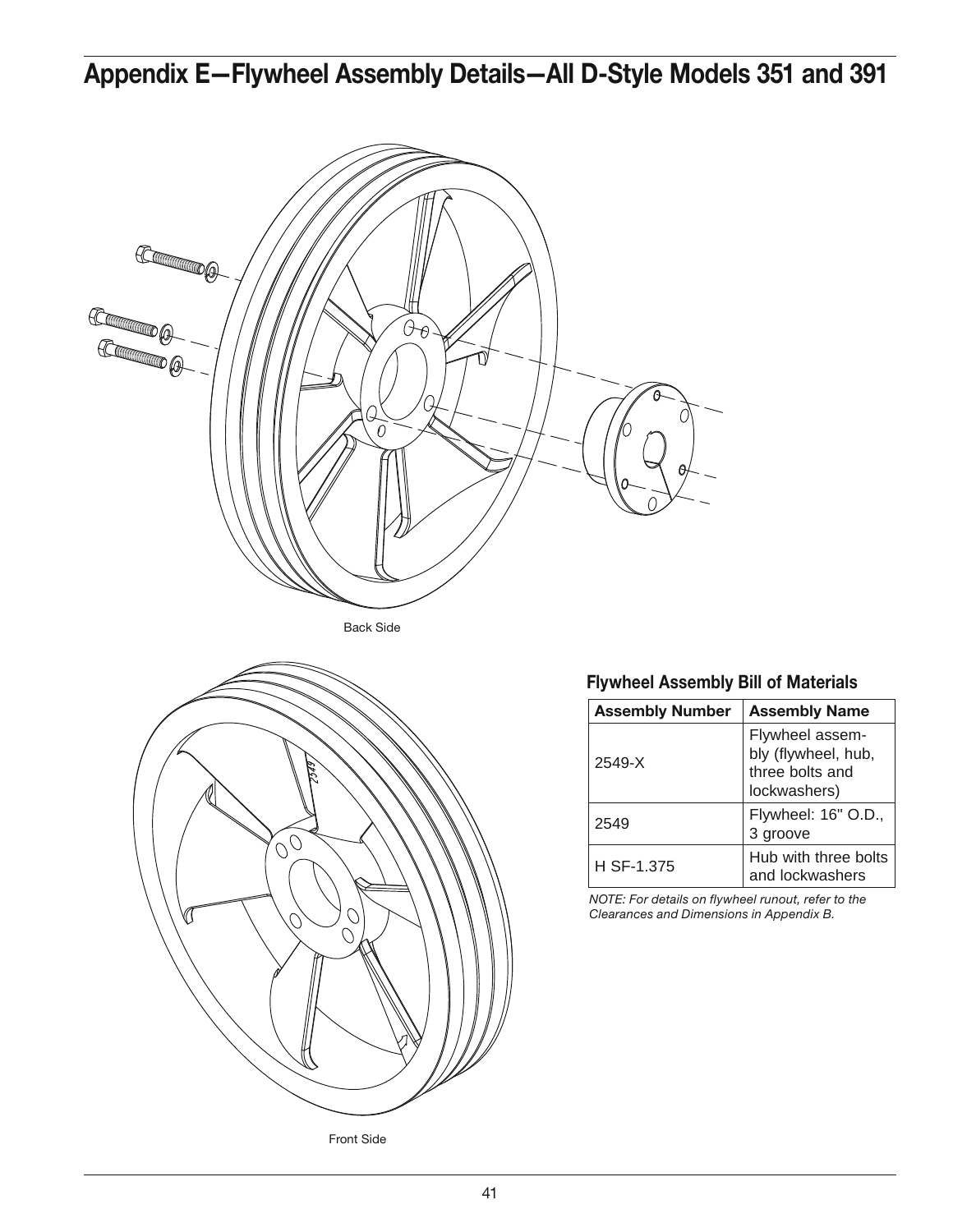# **Appendix E—Flywheel Assembly Details—All D-Style Models 351 and 391**



Back Side



Front Side

### **Flywheel Assembly Bill of Materials**

| <b>Assembly Number</b> | <b>Assembly Name</b>                                                      |
|------------------------|---------------------------------------------------------------------------|
| $2549 - X$             | Flywheel assem-<br>bly (flywheel, hub,<br>three bolts and<br>lockwashers) |
| 2549                   | Flywheel: 16" O.D.,<br>3 groove                                           |
| H SF-1.375             | Hub with three bolts<br>and lockwashers                                   |

*NOTE: For details on flywheel runout, refer to the Clearances and Dimensions in Appendix B.*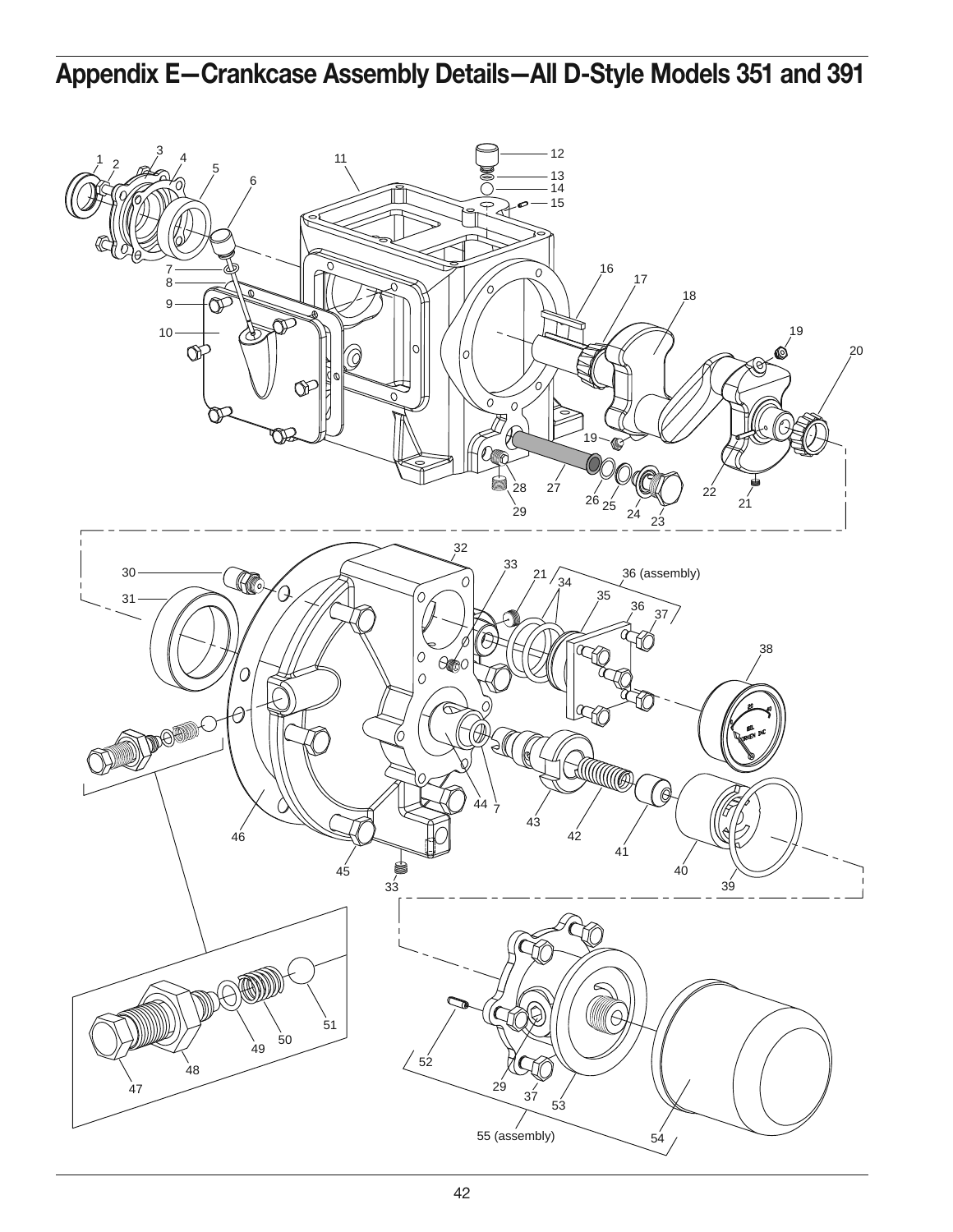# **Appendix E—Crankcase Assembly Details—All D-Style Models 351 and 391**